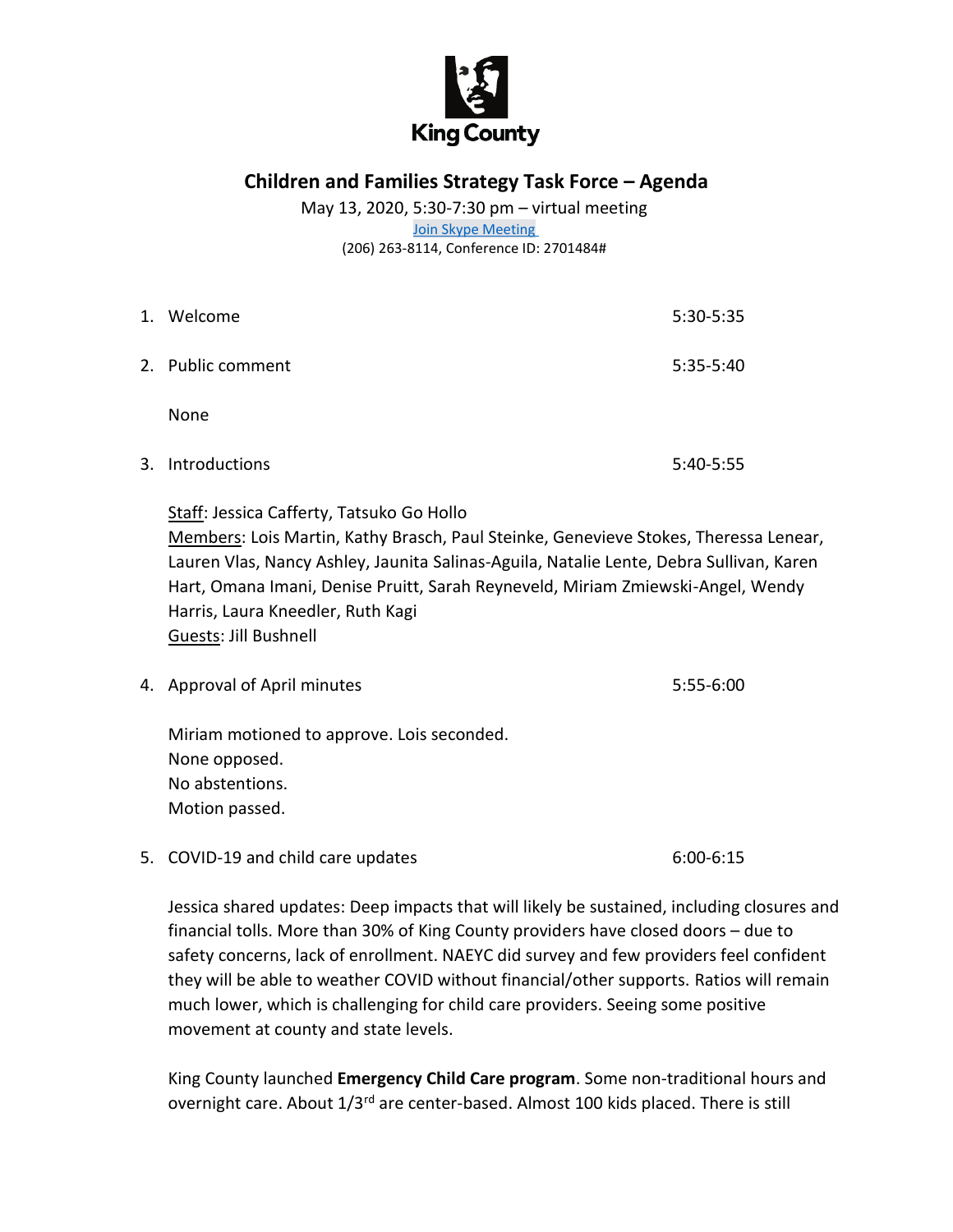

**Children and Families Strategy Task Force – Agenda**

May 13, 2020, 5:30-7:30 pm – virtual meeting [Join Skype Meeting](https://meet.kingcounty.gov/jecafferty/BY1V5YZ3)

(206) 263-8114, Conference ID: 2701484#

| 1. | Welcome           | 5:30-5:35   |
|----|-------------------|-------------|
|    | 2. Public comment | 5:35-5:40   |
|    | None              |             |
|    | 3. Introductions  | $5:40-5:55$ |

Staff: Jessica Cafferty, Tatsuko Go Hollo Members: Lois Martin, Kathy Brasch, Paul Steinke, Genevieve Stokes, Theressa Lenear, Lauren Vlas, Nancy Ashley, Jaunita Salinas-Aguila, Natalie Lente, Debra Sullivan, Karen Hart, Omana Imani, Denise Pruitt, Sarah Reyneveld, Miriam Zmiewski-Angel, Wendy Harris, Laura Kneedler, Ruth Kagi Guests: Jill Bushnell

4. Approval of April minutes 5:55-6:00

Miriam motioned to approve. Lois seconded. None opposed. No abstentions. Motion passed.

5. COVID-19 and child care updates 6:00-6:15

Jessica shared updates: Deep impacts that will likely be sustained, including closures and financial tolls. More than 30% of King County providers have closed doors – due to safety concerns, lack of enrollment. NAEYC did survey and few providers feel confident they will be able to weather COVID without financial/other supports. Ratios will remain much lower, which is challenging for child care providers. Seeing some positive movement at county and state levels.

King County launched **Emergency Child Care program**. Some non-traditional hours and overnight care. About 1/3<sup>rd</sup> are center-based. Almost 100 kids placed. There is still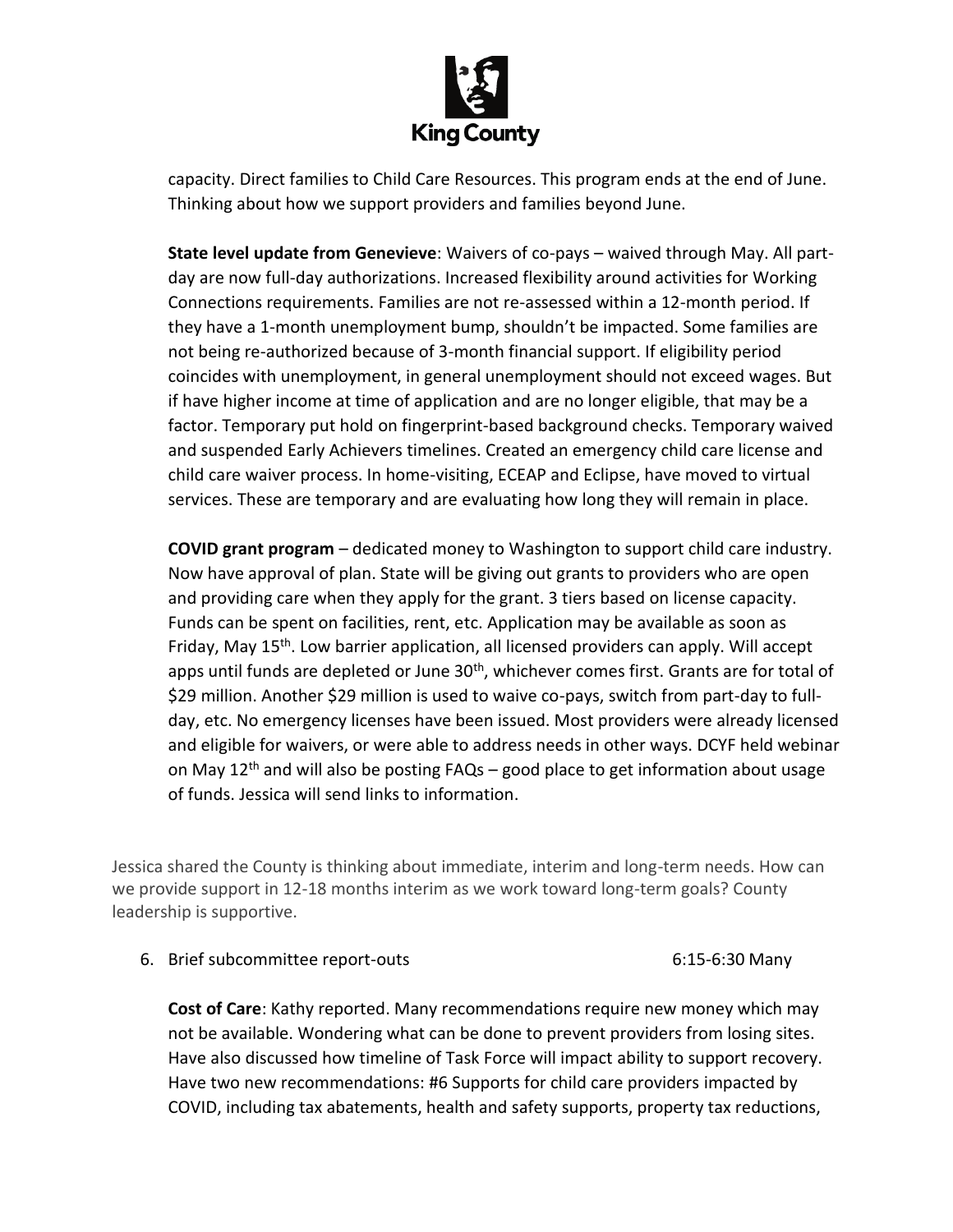

capacity. Direct families to Child Care Resources. This program ends at the end of June. Thinking about how we support providers and families beyond June.

**State level update from Genevieve**: Waivers of co-pays – waived through May. All partday are now full-day authorizations. Increased flexibility around activities for Working Connections requirements. Families are not re-assessed within a 12-month period. If they have a 1-month unemployment bump, shouldn't be impacted. Some families are not being re-authorized because of 3-month financial support. If eligibility period coincides with unemployment, in general unemployment should not exceed wages. But if have higher income at time of application and are no longer eligible, that may be a factor. Temporary put hold on fingerprint-based background checks. Temporary waived and suspended Early Achievers timelines. Created an emergency child care license and child care waiver process. In home-visiting, ECEAP and Eclipse, have moved to virtual services. These are temporary and are evaluating how long they will remain in place.

**COVID grant program** – dedicated money to Washington to support child care industry. Now have approval of plan. State will be giving out grants to providers who are open and providing care when they apply for the grant. 3 tiers based on license capacity. Funds can be spent on facilities, rent, etc. Application may be available as soon as Friday, May 15<sup>th</sup>. Low barrier application, all licensed providers can apply. Will accept apps until funds are depleted or June 30<sup>th</sup>, whichever comes first. Grants are for total of \$29 million. Another \$29 million is used to waive co-pays, switch from part-day to fullday, etc. No emergency licenses have been issued. Most providers were already licensed and eligible for waivers, or were able to address needs in other ways. DCYF held webinar on May  $12<sup>th</sup>$  and will also be posting FAQs – good place to get information about usage of funds. Jessica will send links to information.

Jessica shared the County is thinking about immediate, interim and long-term needs. How can we provide support in 12-18 months interim as we work toward long-term goals? County leadership is supportive.

6. Brief subcommittee report-outs 6:15-6:30 Many

**Cost of Care**: Kathy reported. Many recommendations require new money which may not be available. Wondering what can be done to prevent providers from losing sites. Have also discussed how timeline of Task Force will impact ability to support recovery. Have two new recommendations: #6 Supports for child care providers impacted by COVID, including tax abatements, health and safety supports, property tax reductions,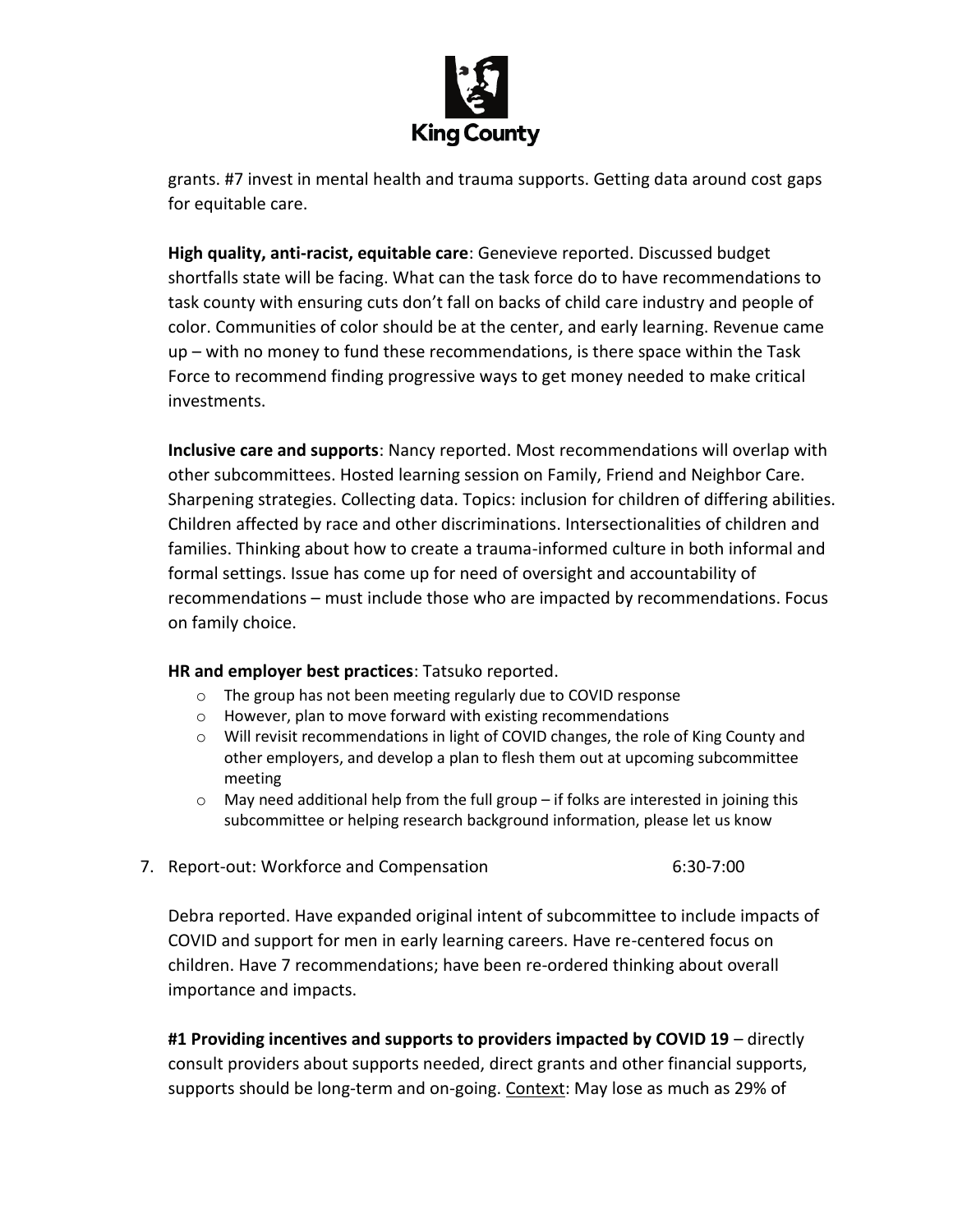

grants. #7 invest in mental health and trauma supports. Getting data around cost gaps for equitable care.

**High quality, anti-racist, equitable care**: Genevieve reported. Discussed budget shortfalls state will be facing. What can the task force do to have recommendations to task county with ensuring cuts don't fall on backs of child care industry and people of color. Communities of color should be at the center, and early learning. Revenue came up – with no money to fund these recommendations, is there space within the Task Force to recommend finding progressive ways to get money needed to make critical investments.

**Inclusive care and supports**: Nancy reported. Most recommendations will overlap with other subcommittees. Hosted learning session on Family, Friend and Neighbor Care. Sharpening strategies. Collecting data. Topics: inclusion for children of differing abilities. Children affected by race and other discriminations. Intersectionalities of children and families. Thinking about how to create a trauma-informed culture in both informal and formal settings. Issue has come up for need of oversight and accountability of recommendations – must include those who are impacted by recommendations. Focus on family choice.

## **HR and employer best practices**: Tatsuko reported.

- o The group has not been meeting regularly due to COVID response
- o However, plan to move forward with existing recommendations
- o Will revisit recommendations in light of COVID changes, the role of King County and other employers, and develop a plan to flesh them out at upcoming subcommittee meeting
- $\circ$  May need additional help from the full group if folks are interested in joining this subcommittee or helping research background information, please let us know
- 7. Report-out: Workforce and Compensation **6:30-7:00**

Debra reported. Have expanded original intent of subcommittee to include impacts of COVID and support for men in early learning careers. Have re-centered focus on children. Have 7 recommendations; have been re-ordered thinking about overall importance and impacts.

**#1 Providing incentives and supports to providers impacted by COVID 19** – directly consult providers about supports needed, direct grants and other financial supports, supports should be long-term and on-going. Context: May lose as much as 29% of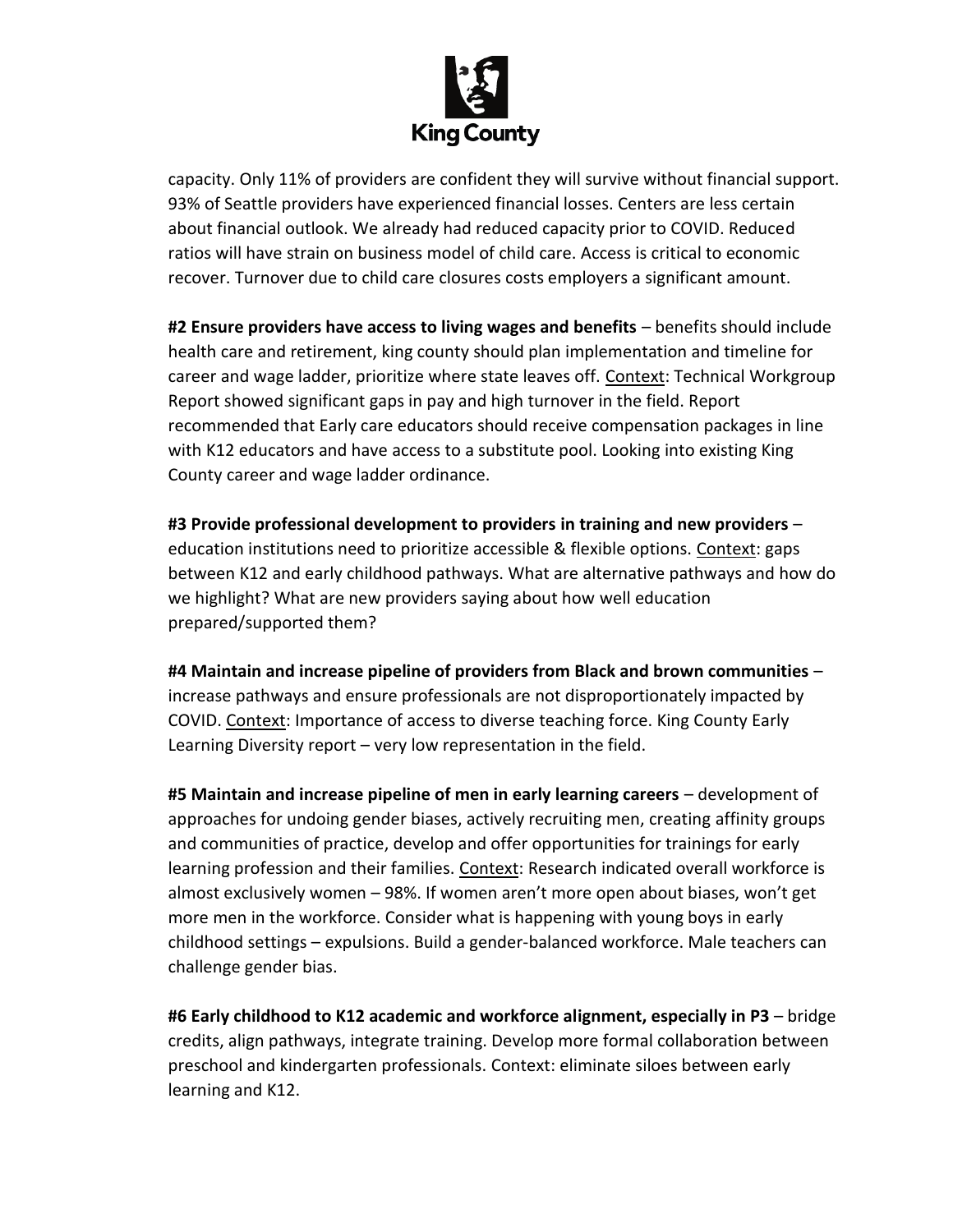

capacity. Only 11% of providers are confident they will survive without financial support. 93% of Seattle providers have experienced financial losses. Centers are less certain about financial outlook. We already had reduced capacity prior to COVID. Reduced ratios will have strain on business model of child care. Access is critical to economic recover. Turnover due to child care closures costs employers a significant amount.

**#2 Ensure providers have access to living wages and benefits** – benefits should include health care and retirement, king county should plan implementation and timeline for career and wage ladder, prioritize where state leaves off. Context: Technical Workgroup Report showed significant gaps in pay and high turnover in the field. Report recommended that Early care educators should receive compensation packages in line with K12 educators and have access to a substitute pool. Looking into existing King County career and wage ladder ordinance.

**#3 Provide professional development to providers in training and new providers** – education institutions need to prioritize accessible & flexible options. Context: gaps between K12 and early childhood pathways. What are alternative pathways and how do we highlight? What are new providers saying about how well education prepared/supported them?

**#4 Maintain and increase pipeline of providers from Black and brown communities** – increase pathways and ensure professionals are not disproportionately impacted by COVID. Context: Importance of access to diverse teaching force. King County Early Learning Diversity report – very low representation in the field.

**#5 Maintain and increase pipeline of men in early learning careers** – development of approaches for undoing gender biases, actively recruiting men, creating affinity groups and communities of practice, develop and offer opportunities for trainings for early learning profession and their families. Context: Research indicated overall workforce is almost exclusively women – 98%. If women aren't more open about biases, won't get more men in the workforce. Consider what is happening with young boys in early childhood settings – expulsions. Build a gender-balanced workforce. Male teachers can challenge gender bias.

**#6 Early childhood to K12 academic and workforce alignment, especially in P3** – bridge credits, align pathways, integrate training. Develop more formal collaboration between preschool and kindergarten professionals. Context: eliminate siloes between early learning and K12.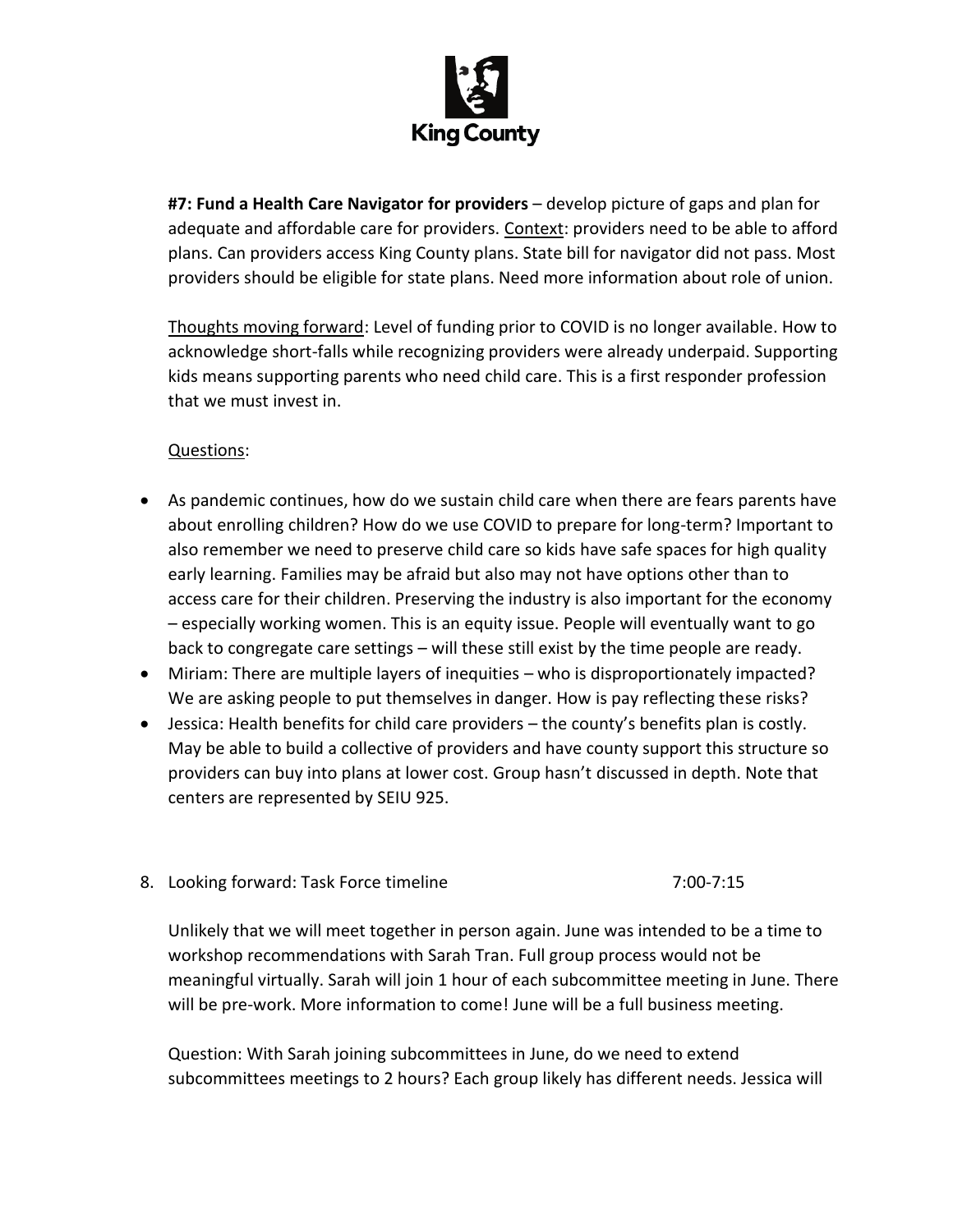

**#7: Fund a Health Care Navigator for providers** – develop picture of gaps and plan for adequate and affordable care for providers. Context: providers need to be able to afford plans. Can providers access King County plans. State bill for navigator did not pass. Most providers should be eligible for state plans. Need more information about role of union.

Thoughts moving forward: Level of funding prior to COVID is no longer available. How to acknowledge short-falls while recognizing providers were already underpaid. Supporting kids means supporting parents who need child care. This is a first responder profession that we must invest in.

## Questions:

- As pandemic continues, how do we sustain child care when there are fears parents have about enrolling children? How do we use COVID to prepare for long-term? Important to also remember we need to preserve child care so kids have safe spaces for high quality early learning. Families may be afraid but also may not have options other than to access care for their children. Preserving the industry is also important for the economy – especially working women. This is an equity issue. People will eventually want to go back to congregate care settings – will these still exist by the time people are ready.
- Miriam: There are multiple layers of inequities who is disproportionately impacted? We are asking people to put themselves in danger. How is pay reflecting these risks?
- Jessica: Health benefits for child care providers the county's benefits plan is costly. May be able to build a collective of providers and have county support this structure so providers can buy into plans at lower cost. Group hasn't discussed in depth. Note that centers are represented by SEIU 925.

## 8. Looking forward: Task Force timeline 7:00-7:15

Unlikely that we will meet together in person again. June was intended to be a time to workshop recommendations with Sarah Tran. Full group process would not be meaningful virtually. Sarah will join 1 hour of each subcommittee meeting in June. There will be pre-work. More information to come! June will be a full business meeting.

Question: With Sarah joining subcommittees in June, do we need to extend subcommittees meetings to 2 hours? Each group likely has different needs. Jessica will